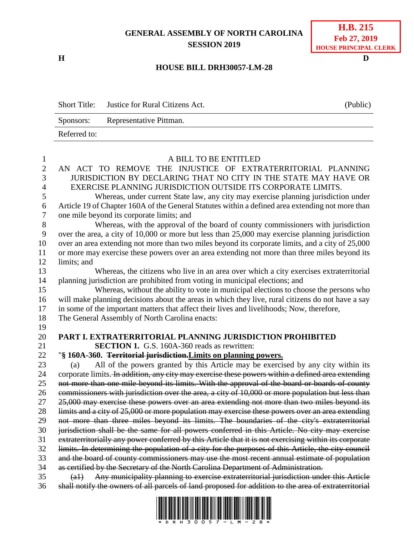# **GENERAL ASSEMBLY OF NORTH CAROLINA SESSION 2019**

**H D**

# **H.B. 215 Feb 27, 2019 HOUSE PRINCIPAL CLERK**

## **HOUSE BILL DRH30057-LM-28**

Short Title: Justice for Rural Citizens Act. (Public) Sponsors: Representative Pittman. Referred to:

| 1              | A BILL TO BE ENTITLED                                                                                                                                                                                    |
|----------------|----------------------------------------------------------------------------------------------------------------------------------------------------------------------------------------------------------|
| $\overline{2}$ | AN ACT TO REMOVE THE INJUSTICE OF EXTRATERRITORIAL PLANNING                                                                                                                                              |
| 3              | JURISDICTION BY DECLARING THAT NO CITY IN THE STATE MAY HAVE OR                                                                                                                                          |
| $\overline{4}$ | EXERCISE PLANNING JURISDICTION OUTSIDE ITS CORPORATE LIMITS.                                                                                                                                             |
| 5              | Whereas, under current State law, any city may exercise planning jurisdiction under                                                                                                                      |
| 6              | Article 19 of Chapter 160A of the General Statutes within a defined area extending not more than                                                                                                         |
| $\overline{7}$ | one mile beyond its corporate limits; and                                                                                                                                                                |
| 8              | Whereas, with the approval of the board of county commissioners with jurisdiction                                                                                                                        |
| 9              | over the area, a city of 10,000 or more but less than 25,000 may exercise planning jurisdiction                                                                                                          |
| 10             | over an area extending not more than two miles beyond its corporate limits, and a city of 25,000                                                                                                         |
| 11             | or more may exercise these powers over an area extending not more than three miles beyond its                                                                                                            |
| 12             | limits; and                                                                                                                                                                                              |
| 13             | Whereas, the citizens who live in an area over which a city exercises extraterritorial                                                                                                                   |
| 14             | planning jurisdiction are prohibited from voting in municipal elections; and                                                                                                                             |
| 15             | Whereas, without the ability to vote in municipal elections to choose the persons who                                                                                                                    |
| 16             | will make planning decisions about the areas in which they live, rural citizens do not have a say                                                                                                        |
| 17             | in some of the important matters that affect their lives and livelihoods; Now, therefore,                                                                                                                |
| 18             | The General Assembly of North Carolina enacts:                                                                                                                                                           |
|                |                                                                                                                                                                                                          |
| 19             |                                                                                                                                                                                                          |
| 20             | PART I. EXTRATERRITORIAL PLANNING JURISDICTION PROHIBITED                                                                                                                                                |
| 21             | <b>SECTION 1.</b> G.S. 160A-360 reads as rewritten:                                                                                                                                                      |
| 22             | "§ 160A-360. Territorial jurisdiction. Limits on planning powers.                                                                                                                                        |
| 23             | All of the powers granted by this Article may be exercised by any city within its<br>(a)                                                                                                                 |
| 24             | corporate limits. In addition, any city may exercise these powers within a defined area extending                                                                                                        |
| 25             | not more than one mile beyond its limits. With the approval of the board or boards of county                                                                                                             |
| 26             | commissioners with jurisdiction over the area, a city of 10,000 or more population but less than                                                                                                         |
| 27             | 25,000 may exercise these powers over an area extending not more than two miles beyond its                                                                                                               |
| 28             | limits and a city of 25,000 or more population may exercise these powers over an area extending                                                                                                          |
| 29             | not more than three miles beyond its limits. The boundaries of the city's extraterritorial                                                                                                               |
| 30             | jurisdiction shall be the same for all powers conferred in this Article. No city may exercise                                                                                                            |
| 31             | extraterritorially any power conferred by this Article that it is not exercising within its corporate                                                                                                    |
| 32             | limits. In determining the population of a city for the purposes of this Article, the city council                                                                                                       |
| 33             | and the board of county commissioners may use the most recent annual estimate of population                                                                                                              |
| 34             | as certified by the Secretary of the North Carolina Department of Administration.                                                                                                                        |
| 35<br>36       | Any municipality planning to exercise extraterritorial jurisdiction under this Article<br>$(a+)$<br>shall notify the owners of all parcels of land proposed for addition to the area of extraterritorial |

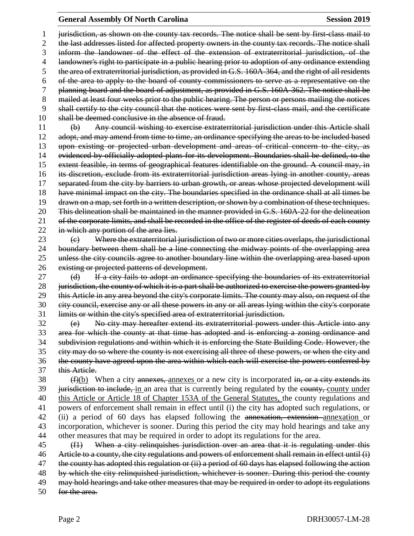### **General Assembly Of North Carolina Session 2019 Session 2019**

 jurisdiction, as shown on the county tax records. The notice shall be sent by first-class mail to the last addresses listed for affected property owners in the county tax records. The notice shall inform the landowner of the effect of the extension of extraterritorial jurisdiction, of the landowner's right to participate in a public hearing prior to adoption of any ordinance extending the area of extraterritorial jurisdiction, as provided in G.S. 160A-364, and the right of all residents of the area to apply to the board of county commissioners to serve as a representative on the planning board and the board of adjustment, as provided in G.S. 160A-362. The notice shall be mailed at least four weeks prior to the public hearing. The person or persons mailing the notices shall certify to the city council that the notices were sent by first-class mail, and the certificate shall be deemed conclusive in the absence of fraud. (b) Any council wishing to exercise extraterritorial jurisdiction under this Article shall adopt, and may amend from time to time, an ordinance specifying the areas to be included based upon existing or projected urban development and areas of critical concern to the city, as evidenced by officially adopted plans for its development. Boundaries shall be defined, to the extent feasible, in terms of geographical features identifiable on the ground. A council may, in its discretion, exclude from its extraterritorial jurisdiction areas lying in another county, areas separated from the city by barriers to urban growth, or areas whose projected development will have minimal impact on the city. The boundaries specified in the ordinance shall at all times be drawn on a map, set forth in a written description, or shown by a combination of these techniques. This delineation shall be maintained in the manner provided in G.S. 160A-22 for the delineation 21 of the corporate limits, and shall be recorded in the office of the register of deeds of each county

22 in which any portion of the area lies.

 $23 \qquad (e)$  Where the extraterritorial jurisdiction of two or more cities overlaps, the jurisdictional boundary between them shall be a line connecting the midway points of the overlapping area unless the city councils agree to another boundary line within the overlapping area based upon existing or projected patterns of development.

 (d) If a city fails to adopt an ordinance specifying the boundaries of its extraterritorial jurisdiction, the county of which it is a part shall be authorized to exercise the powers granted by this Article in any area beyond the city's corporate limits. The county may also, on request of the 30 eity council, exercise any or all these powers in any or all areas lying within the city's corporate limits or within the city's specified area of extraterritorial jurisdiction.

 (e) No city may hereafter extend its extraterritorial powers under this Article into any 33 area for which the county at that time has adopted and is enforcing a zoning ordinance and subdivision regulations and within which it is enforcing the State Building Code. However, the 35 eity may do so where the county is not exercising all three of these powers, or when the city and the county have agreed upon the area within which each will exercise the powers conferred by this Article.

 (f)(b) When a city annexes, annexes or a new city is incorporated in, or a city extends its 39 jurisdiction to include, in an area that is currently being regulated by the county, county under this Article or Article 18 of Chapter 153A of the General Statutes, the county regulations and powers of enforcement shall remain in effect until (i) the city has adopted such regulations, or (ii) a period of 60 days has elapsed following the annexation, extension annexation or incorporation, whichever is sooner. During this period the city may hold hearings and take any other measures that may be required in order to adopt its regulations for the area.

 (f1) When a city relinquishes jurisdiction over an area that it is regulating under this Article to a county, the city regulations and powers of enforcement shall remain in effect until (i) the county has adopted this regulation or (ii) a period of 60 days has elapsed following the action by which the city relinquished jurisdiction, whichever is sooner. During this period the county 49 may hold hearings and take other measures that may be required in order to adopt its regulations for the area.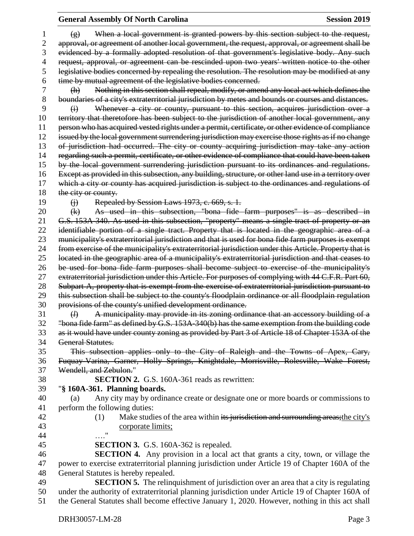**General Assembly Of North Carolina Session 2019 Session 2019**  $\frac{1}{2}$  (g) When a local government is granted powers by this section subject to the request, approval, or agreement of another local government, the request, approval, or agreement shall be evidenced by a formally adopted resolution of that government's legislative body. Any such 4 request, approval, or agreement can be rescinded upon two years' written notice to the other legislative bodies concerned by repealing the resolution. The resolution may be modified at any time by mutual agreement of the legislative bodies concerned. (h) Nothing in this section shall repeal, modify, or amend any local act which defines the boundaries of a city's extraterritorial jurisdiction by metes and bounds or courses and distances. (i) Whenever a city or county, pursuant to this section, acquires jurisdiction over a 10 territory that theretofore has been subject to the jurisdiction of another local government, any person who has acquired vested rights under a permit, certificate, or other evidence of compliance issued by the local government surrendering jurisdiction may exercise those rights as if no change of jurisdiction had occurred. The city or county acquiring jurisdiction may take any action 14 regarding such a permit, certificate, or other evidence of compliance that could have been taken by the local government surrendering jurisdiction pursuant to its ordinances and regulations. Except as provided in this subsection, any building, structure, or other land use in a territory over which a city or county has acquired jurisdiction is subject to the ordinances and regulations of 18 the city or county.  $\qquad \qquad (i)$  Repealed by Session Laws 1973, c. 669, s. 1. (k) As used in this subsection, "bona fide farm purposes" is as described in G.S. 153A-340. As used in this subsection, "property" means a single tract of property or an

 identifiable portion of a single tract. Property that is located in the geographic area of a municipality's extraterritorial jurisdiction and that is used for bona fide farm purposes is exempt from exercise of the municipality's extraterritorial jurisdiction under this Article. Property that is located in the geographic area of a municipality's extraterritorial jurisdiction and that ceases to be used for bona fide farm purposes shall become subject to exercise of the municipality's extraterritorial jurisdiction under this Article. For purposes of complying with 44 C.F.R. Part 60, 28 Subpart A, property that is exempt from the exercise of extraterritorial jurisdiction pursuant to this subsection shall be subject to the county's floodplain ordinance or all floodplain regulation provisions of the county's unified development ordinance.

 (*l*) A municipality may provide in its zoning ordinance that an accessory building of a "bona fide farm" as defined by G.S. 153A-340(b) has the same exemption from the building code as it would have under county zoning as provided by Part 3 of Article 18 of Chapter 153A of the General Statutes.

 This subsection applies only to the City of Raleigh and the Towns of Apex, Cary, Fuquay-Varina, Garner, Holly Springs, Knightdale, Morrisville, Rolesville, Wake Forest, Wendell, and Zebulon."

**SECTION 2.** G.S. 160A-361 reads as rewritten:

# "**§ 160A-361. Planning boards.**

- (a) Any city may by ordinance create or designate one or more boards or commissions to perform the following duties:
- 
- 42 (1) Make studies of the area within its jurisdiction and surrounding areas; the city's corporate limits;
- …." **SECTION 3.** G.S. 160A-362 is repealed.

 **SECTION 4.** Any provision in a local act that grants a city, town, or village the power to exercise extraterritorial planning jurisdiction under Article 19 of Chapter 160A of the General Statutes is hereby repealed.

 **SECTION 5.** The relinquishment of jurisdiction over an area that a city is regulating under the authority of extraterritorial planning jurisdiction under Article 19 of Chapter 160A of the General Statutes shall become effective January 1, 2020. However, nothing in this act shall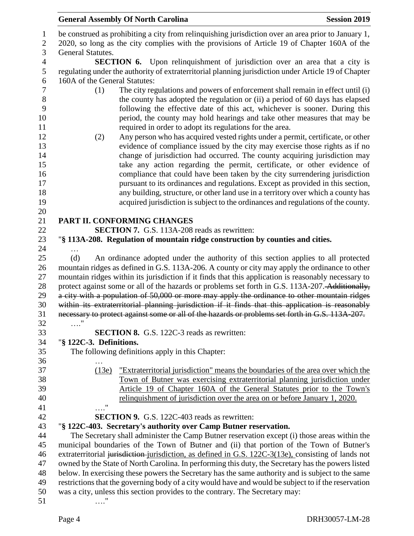|                               | <b>General Assembly Of North Carolina</b>                                                                                                                                                                                                                                                                                                                                                                                                                                                                                                                                                                                                                                                              | <b>Session 2019</b> |
|-------------------------------|--------------------------------------------------------------------------------------------------------------------------------------------------------------------------------------------------------------------------------------------------------------------------------------------------------------------------------------------------------------------------------------------------------------------------------------------------------------------------------------------------------------------------------------------------------------------------------------------------------------------------------------------------------------------------------------------------------|---------------------|
|                               | be construed as prohibiting a city from relinquishing jurisdiction over an area prior to January 1,                                                                                                                                                                                                                                                                                                                                                                                                                                                                                                                                                                                                    |                     |
|                               | 2020, so long as the city complies with the provisions of Article 19 of Chapter 160A of the                                                                                                                                                                                                                                                                                                                                                                                                                                                                                                                                                                                                            |                     |
| <b>General Statutes.</b>      |                                                                                                                                                                                                                                                                                                                                                                                                                                                                                                                                                                                                                                                                                                        |                     |
|                               | <b>SECTION 6.</b> Upon relinquishment of jurisdiction over an area that a city is                                                                                                                                                                                                                                                                                                                                                                                                                                                                                                                                                                                                                      |                     |
|                               | regulating under the authority of extraterritorial planning jurisdiction under Article 19 of Chapter                                                                                                                                                                                                                                                                                                                                                                                                                                                                                                                                                                                                   |                     |
| 160A of the General Statutes: |                                                                                                                                                                                                                                                                                                                                                                                                                                                                                                                                                                                                                                                                                                        |                     |
| (1)                           | The city regulations and powers of enforcement shall remain in effect until (i)<br>the county has adopted the regulation or (ii) a period of 60 days has elapsed<br>following the effective date of this act, whichever is sooner. During this<br>period, the county may hold hearings and take other measures that may be<br>required in order to adopt its regulations for the area.                                                                                                                                                                                                                                                                                                                 |                     |
| (2)                           | Any person who has acquired vested rights under a permit, certificate, or other<br>evidence of compliance issued by the city may exercise those rights as if no<br>change of jurisdiction had occurred. The county acquiring jurisdiction may<br>take any action regarding the permit, certificate, or other evidence of<br>compliance that could have been taken by the city surrendering jurisdiction<br>pursuant to its ordinances and regulations. Except as provided in this section,<br>any building, structure, or other land use in a territory over which a county has<br>acquired jurisdiction is subject to the ordinances and regulations of the county.                                   |                     |
|                               | PART II. CONFORMING CHANGES<br><b>SECTION 7.</b> G.S. 113A-208 reads as rewritten:<br>"§ 113A-208. Regulation of mountain ridge construction by counties and cities.                                                                                                                                                                                                                                                                                                                                                                                                                                                                                                                                   |                     |
| .                             |                                                                                                                                                                                                                                                                                                                                                                                                                                                                                                                                                                                                                                                                                                        |                     |
| (d)                           | An ordinance adopted under the authority of this section applies to all protected<br>mountain ridges as defined in G.S. 113A-206. A county or city may apply the ordinance to other<br>mountain ridges within its jurisdiction if it finds that this application is reasonably necessary to<br>protect against some or all of the hazards or problems set forth in G.S. 113A-207. Additionally,<br>a city with a population of 50,000 or more may apply the ordinance to other mountain ridges<br>within its extraterritorial planning jurisdiction if it finds that this application is reasonably<br>necessary to protect against some or all of the hazards or problems set forth in G.S. 113A-207. |                     |
|                               | <b>SECTION 8.</b> G.S. 122C-3 reads as rewritten:                                                                                                                                                                                                                                                                                                                                                                                                                                                                                                                                                                                                                                                      |                     |
| "§ 122C-3. Definitions.       |                                                                                                                                                                                                                                                                                                                                                                                                                                                                                                                                                                                                                                                                                                        |                     |
|                               | The following definitions apply in this Chapter:                                                                                                                                                                                                                                                                                                                                                                                                                                                                                                                                                                                                                                                       |                     |
|                               |                                                                                                                                                                                                                                                                                                                                                                                                                                                                                                                                                                                                                                                                                                        |                     |
| (13e)                         | "Extraterritorial jurisdiction" means the boundaries of the area over which the                                                                                                                                                                                                                                                                                                                                                                                                                                                                                                                                                                                                                        |                     |
|                               | Town of Butner was exercising extraterritorial planning jurisdiction under                                                                                                                                                                                                                                                                                                                                                                                                                                                                                                                                                                                                                             |                     |
|                               | Article 19 of Chapter 160A of the General Statutes prior to the Town's                                                                                                                                                                                                                                                                                                                                                                                                                                                                                                                                                                                                                                 |                     |
|                               | relinguishment of jurisdiction over the area on or before January 1, 2020.                                                                                                                                                                                                                                                                                                                                                                                                                                                                                                                                                                                                                             |                     |
| 11                            |                                                                                                                                                                                                                                                                                                                                                                                                                                                                                                                                                                                                                                                                                                        |                     |
|                               | <b>SECTION 9.</b> G.S. 122C-403 reads as rewritten:                                                                                                                                                                                                                                                                                                                                                                                                                                                                                                                                                                                                                                                    |                     |
|                               | "§ 122C-403. Secretary's authority over Camp Butner reservation.                                                                                                                                                                                                                                                                                                                                                                                                                                                                                                                                                                                                                                       |                     |
|                               | The Secretary shall administer the Camp Butner reservation except (i) those areas within the                                                                                                                                                                                                                                                                                                                                                                                                                                                                                                                                                                                                           |                     |
|                               | municipal boundaries of the Town of Butner and (ii) that portion of the Town of Butner's                                                                                                                                                                                                                                                                                                                                                                                                                                                                                                                                                                                                               |                     |
|                               | extraterritorial invischiering intriguistic as defined in $GS 122C-3(13e)$ consisting of lands not                                                                                                                                                                                                                                                                                                                                                                                                                                                                                                                                                                                                     |                     |

46 extraterritorial jurisdiction-jurisdiction, as defined in G.S. 122C-3(13e), consisting of lands not owned by the State of North Carolina. In performing this duty, the Secretary has the powers listed below. In exercising these powers the Secretary has the same authority and is subject to the same restrictions that the governing body of a city would have and would be subject to if the reservation was a city, unless this section provides to the contrary. The Secretary may: …."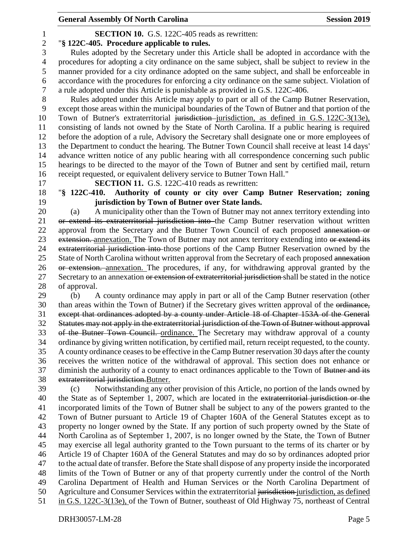**SECTION 10.** G.S. 122C-405 reads as rewritten:

## "**§ 122C-405. Procedure applicable to rules.**

 Rules adopted by the Secretary under this Article shall be adopted in accordance with the procedures for adopting a city ordinance on the same subject, shall be subject to review in the manner provided for a city ordinance adopted on the same subject, and shall be enforceable in accordance with the procedures for enforcing a city ordinance on the same subject. Violation of a rule adopted under this Article is punishable as provided in G.S. 122C-406.

 Rules adopted under this Article may apply to part or all of the Camp Butner Reservation, except those areas within the municipal boundaries of the Town of Butner and that portion of the 10 Town of Butner's extraterritorial jurisdiction-jurisdiction, as defined in G.S. 122C-3(13e), consisting of lands not owned by the State of North Carolina. If a public hearing is required before the adoption of a rule, Advisory the Secretary shall designate one or more employees of the Department to conduct the hearing. The Butner Town Council shall receive at least 14 days' advance written notice of any public hearing with all correspondence concerning such public hearings to be directed to the mayor of the Town of Butner and sent by certified mail, return receipt requested, or equivalent delivery service to Butner Town Hall."

- 
- 

**SECTION 11.** G.S. 122C-410 reads as rewritten:

# "**§ 122C-410. Authority of county or city over Camp Butner Reservation; zoning jurisdiction by Town of Butner over State lands.**

 (a) A municipality other than the Town of Butner may not annex territory extending into or extend its extraterritorial jurisdiction into the Camp Butner reservation without written 22 approval from the Secretary and the Butner Town Council of each proposed annexation or 23 extension. annexation. The Town of Butner may not annex territory extending into or extend its extraterritorial jurisdiction into those portions of the Camp Butner Reservation owned by the 25 State of North Carolina without written approval from the Secretary of each proposed annexation or extension. annexation. The procedures, if any, for withdrawing approval granted by the 27 Secretary to an annexation or extension of extraterritorial jurisdiction-shall be stated in the notice of approval.

 (b) A county ordinance may apply in part or all of the Camp Butner reservation (other 30 than areas within the Town of Butner) if the Secretary gives written approval of the ordinance, except that ordinances adopted by a county under Article 18 of Chapter 153A of the General Statutes may not apply in the extraterritorial jurisdiction of the Town of Butner without approval 33 of the Butner Town Council. ordinance. The Secretary may withdraw approval of a county ordinance by giving written notification, by certified mail, return receipt requested, to the county. A county ordinance ceases to be effective in the Camp Butner reservation 30 days after the county receives the written notice of the withdrawal of approval. This section does not enhance or 37 diminish the authority of a county to enact ordinances applicable to the Town of Butner and its extraterritorial jurisdiction.Butner.

 (c) Notwithstanding any other provision of this Article, no portion of the lands owned by 40 the State as of September 1, 2007, which are located in the extraterritorial jurisdiction or the incorporated limits of the Town of Butner shall be subject to any of the powers granted to the Town of Butner pursuant to Article 19 of Chapter 160A of the General Statutes except as to property no longer owned by the State. If any portion of such property owned by the State of North Carolina as of September 1, 2007, is no longer owned by the State, the Town of Butner may exercise all legal authority granted to the Town pursuant to the terms of its charter or by Article 19 of Chapter 160A of the General Statutes and may do so by ordinances adopted prior to the actual date of transfer. Before the State shall dispose of any property inside the incorporated limits of the Town of Butner or any of that property currently under the control of the North Carolina Department of Health and Human Services or the North Carolina Department of 50 Agriculture and Consumer Services within the extraterritorial iurisdiction-jurisdiction, as defined in G.S. 122C-3(13e), of the Town of Butner, southeast of Old Highway 75, northeast of Central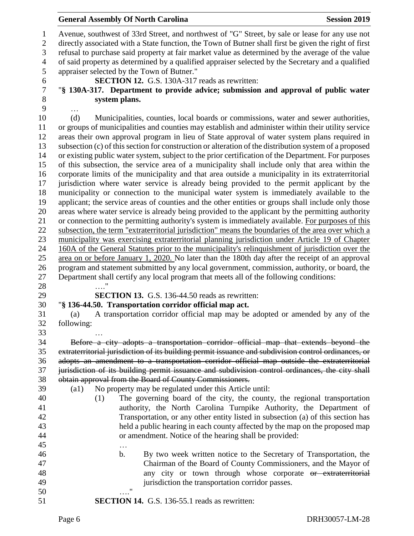### **General Assembly Of North Carolina Session 2019 Session 2019**

 Avenue, southwest of 33rd Street, and northwest of "G" Street, by sale or lease for any use not directly associated with a State function, the Town of Butner shall first be given the right of first refusal to purchase said property at fair market value as determined by the average of the value of said property as determined by a qualified appraiser selected by the Secretary and a qualified appraiser selected by the Town of Butner." **SECTION 12.** G.S. 130A-317 reads as rewritten: "**§ 130A-317. Department to provide advice; submission and approval of public water system plans.** … (d) Municipalities, counties, local boards or commissions, water and sewer authorities, or groups of municipalities and counties may establish and administer within their utility service areas their own approval program in lieu of State approval of water system plans required in subsection (c) of this section for construction or alteration of the distribution system of a proposed or existing public water system, subject to the prior certification of the Department. For purposes of this subsection, the service area of a municipality shall include only that area within the corporate limits of the municipality and that area outside a municipality in its extraterritorial jurisdiction where water service is already being provided to the permit applicant by the municipality or connection to the municipal water system is immediately available to the applicant; the service areas of counties and the other entities or groups shall include only those areas where water service is already being provided to the applicant by the permitting authority or connection to the permitting authority's system is immediately available. For purposes of this subsection, the term "extraterritorial jurisdiction" means the boundaries of the area over which a municipality was exercising extraterritorial planning jurisdiction under Article 19 of Chapter 160A of the General Statutes prior to the municipality's relinquishment of jurisdiction over the area on or before January 1, 2020. No later than the 180th day after the receipt of an approval program and statement submitted by any local government, commission, authority, or board, the Department shall certify any local program that meets all of the following conditions: …." **SECTION 13.** G.S. 136-44.50 reads as rewritten: "**§ 136-44.50. Transportation corridor official map act.** (a) A transportation corridor official map may be adopted or amended by any of the following: … Before a city adopts a transportation corridor official map that extends beyond the extraterritorial jurisdiction of its building permit issuance and subdivision control ordinances, or adopts an amendment to a transportation corridor official map outside the extraterritorial jurisdiction of its building permit issuance and subdivision control ordinances, the city shall obtain approval from the Board of County Commissioners. (a1) No property may be regulated under this Article until: (1) The governing board of the city, the county, the regional transportation authority, the North Carolina Turnpike Authority, the Department of Transportation, or any other entity listed in subsection (a) of this section has held a public hearing in each county affected by the map on the proposed map or amendment. Notice of the hearing shall be provided: … b. By two week written notice to the Secretary of Transportation, the Chairman of the Board of County Commissioners, and the Mayor of 48 any city or town through whose corporate or extraterritorial jurisdiction the transportation corridor passes. …." **SECTION 14.** G.S. 136-55.1 reads as rewritten: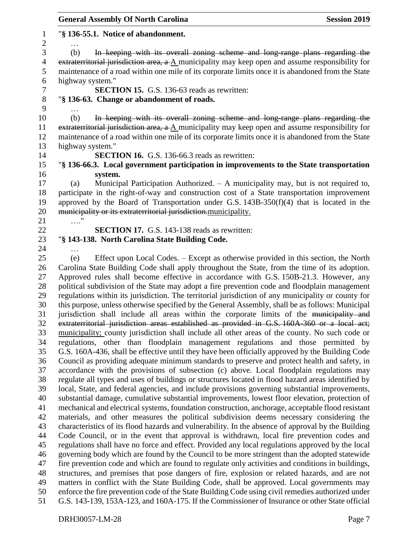General Assembly Of North Carolina **Session 2019**  "**§ 136-55.1. Notice of abandonment.** … (b) In keeping with its overall zoning scheme and long-range plans regarding the 4 extraterritorial jurisdiction area, a A municipality may keep open and assume responsibility for maintenance of a road within one mile of its corporate limits once it is abandoned from the State highway system." **SECTION 15.** G.S. 136-63 reads as rewritten: "**§ 136-63. Change or abandonment of roads.** … (b) In keeping with its overall zoning scheme and long-range plans regarding the extraterritorial jurisdiction area, a A municipality may keep open and assume responsibility for maintenance of a road within one mile of its corporate limits once it is abandoned from the State highway system." **SECTION 16.** G.S. 136-66.3 reads as rewritten: "**§ 136-66.3. Local government participation in improvements to the State transportation system.** (a) Municipal Participation Authorized. – A municipality may, but is not required to, participate in the right-of-way and construction cost of a State transportation improvement approved by the Board of Transportation under G.S. 143B-350(f)(4) that is located in the 20 municipality or its extraterritorial jurisdiction.municipality. …." **SECTION 17.** G.S. 143-138 reads as rewritten: "**§ 143-138. North Carolina State Building Code.** (e) Effect upon Local Codes. – Except as otherwise provided in this section, the North Carolina State Building Code shall apply throughout the State, from the time of its adoption. Approved rules shall become effective in accordance with G.S. 150B-21.3. However, any political subdivision of the State may adopt a fire prevention code and floodplain management regulations within its jurisdiction. The territorial jurisdiction of any municipality or county for this purpose, unless otherwise specified by the General Assembly, shall be as follows: Municipal jurisdiction shall include all areas within the corporate limits of the municipality and extraterritorial jurisdiction areas established as provided in G.S. 160A-360 or a local act; municipality; county jurisdiction shall include all other areas of the county. No such code or regulations, other than floodplain management regulations and those permitted by G.S. 160A-436, shall be effective until they have been officially approved by the Building Code Council as providing adequate minimum standards to preserve and protect health and safety, in accordance with the provisions of subsection (c) above. Local floodplain regulations may regulate all types and uses of buildings or structures located in flood hazard areas identified by local, State, and federal agencies, and include provisions governing substantial improvements, substantial damage, cumulative substantial improvements, lowest floor elevation, protection of mechanical and electrical systems, foundation construction, anchorage, acceptable flood resistant materials, and other measures the political subdivision deems necessary considering the characteristics of its flood hazards and vulnerability. In the absence of approval by the Building Code Council, or in the event that approval is withdrawn, local fire prevention codes and regulations shall have no force and effect. Provided any local regulations approved by the local governing body which are found by the Council to be more stringent than the adopted statewide fire prevention code and which are found to regulate only activities and conditions in buildings, structures, and premises that pose dangers of fire, explosion or related hazards, and are not matters in conflict with the State Building Code, shall be approved. Local governments may enforce the fire prevention code of the State Building Code using civil remedies authorized under G.S. 143-139, 153A-123, and 160A-175. If the Commissioner of Insurance or other State official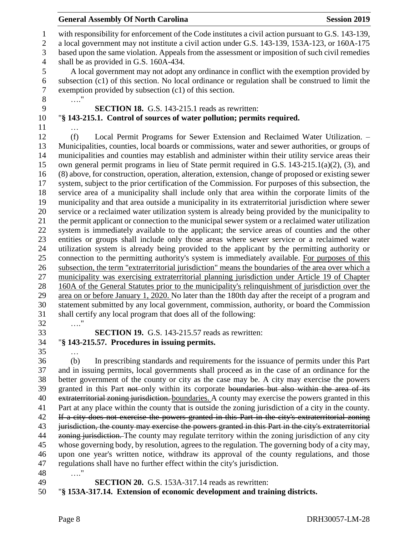| <b>General Assembly Of North Carolina</b>                                                                                                                                                                                                                                                                                                         | <b>Session 2019</b> |
|---------------------------------------------------------------------------------------------------------------------------------------------------------------------------------------------------------------------------------------------------------------------------------------------------------------------------------------------------|---------------------|
| with responsibility for enforcement of the Code institutes a civil action pursuant to G.S. 143-139,<br>a local government may not institute a civil action under G.S. 143-139, 153A-123, or 160A-175<br>based upon the same violation. Appeals from the assessment or imposition of such civil remedies<br>shall be as provided in G.S. 160A-434. |                     |
| A local government may not adopt any ordinance in conflict with the exemption provided by<br>subsection (c1) of this section. No local ordinance or regulation shall be construed to limit the<br>exemption provided by subsection (c1) of this section.<br>. "                                                                                   |                     |
| SECTION 18. G.S. 143-215.1 reads as rewritten:                                                                                                                                                                                                                                                                                                    |                     |
| "§ 143-215.1. Control of sources of water pollution; permits required.                                                                                                                                                                                                                                                                            |                     |
|                                                                                                                                                                                                                                                                                                                                                   |                     |
| Local Permit Programs for Sewer Extension and Reclaimed Water Utilization. -<br>(f)                                                                                                                                                                                                                                                               |                     |
| Municipalities, counties, local boards or commissions, water and sewer authorities, or groups of                                                                                                                                                                                                                                                  |                     |
| municipalities and counties may establish and administer within their utility service areas their                                                                                                                                                                                                                                                 |                     |
| own general permit programs in lieu of State permit required in G.S. 143-215.1(a)(2), (3), and                                                                                                                                                                                                                                                    |                     |
| (8) above, for construction, operation, alteration, extension, change of proposed or existing sewer                                                                                                                                                                                                                                               |                     |
| system, subject to the prior certification of the Commission. For purposes of this subsection, the                                                                                                                                                                                                                                                |                     |
| service area of a municipality shall include only that area within the corporate limits of the                                                                                                                                                                                                                                                    |                     |
| municipality and that area outside a municipality in its extraterritorial jurisdiction where sewer                                                                                                                                                                                                                                                |                     |
| service or a reclaimed water utilization system is already being provided by the municipality to<br>the permit applicant or connection to the municipal sewer system or a reclaimed water utilization                                                                                                                                             |                     |
| system is immediately available to the applicant; the service areas of counties and the other                                                                                                                                                                                                                                                     |                     |
| entities or groups shall include only those areas where sewer service or a reclaimed water                                                                                                                                                                                                                                                        |                     |
| utilization system is already being provided to the applicant by the permitting authority or                                                                                                                                                                                                                                                      |                     |
| connection to the permitting authority's system is immediately available. For purposes of this                                                                                                                                                                                                                                                    |                     |
| subsection, the term "extraterritorial jurisdiction" means the boundaries of the area over which a                                                                                                                                                                                                                                                |                     |
| municipality was exercising extraterritorial planning jurisdiction under Article 19 of Chapter                                                                                                                                                                                                                                                    |                     |
| 160A of the General Statutes prior to the municipality's relinquishment of jurisdiction over the                                                                                                                                                                                                                                                  |                     |
| area on or before January 1, 2020. No later than the 180th day after the receipt of a program and                                                                                                                                                                                                                                                 |                     |
| statement submitted by any local government, commission, authority, or board the Commission                                                                                                                                                                                                                                                       |                     |
| shall certify any local program that does all of the following:                                                                                                                                                                                                                                                                                   |                     |
|                                                                                                                                                                                                                                                                                                                                                   |                     |
| SECTION 19. G.S. 143-215.57 reads as rewritten:                                                                                                                                                                                                                                                                                                   |                     |
| "§ 143-215.57. Procedures in issuing permits.                                                                                                                                                                                                                                                                                                     |                     |
|                                                                                                                                                                                                                                                                                                                                                   |                     |
| (b)<br>In prescribing standards and requirements for the issuance of permits under this Part<br>and in issuing permits, local governments shall proceed as in the case of an ordinance for the                                                                                                                                                    |                     |
| better government of the county or city as the case may be. A city may exercise the powers                                                                                                                                                                                                                                                        |                     |
| granted in this Part not only within its corporate boundaries but also within the area of its                                                                                                                                                                                                                                                     |                     |
| extraterritorial zoning jurisdiction. boundaries. A county may exercise the powers granted in this                                                                                                                                                                                                                                                |                     |
| Part at any place within the county that is outside the zoning jurisdiction of a city in the county.                                                                                                                                                                                                                                              |                     |
| If a city does not exercise the powers granted in this Part in the city's extraterritorial zoning                                                                                                                                                                                                                                                 |                     |
| jurisdiction, the county may exercise the powers granted in this Part in the city's extraterritorial                                                                                                                                                                                                                                              |                     |
| zoning jurisdiction. The county may regulate territory within the zoning jurisdiction of any city                                                                                                                                                                                                                                                 |                     |
| whose governing body, by resolution, agrees to the regulation. The governing body of a city may,                                                                                                                                                                                                                                                  |                     |
| upon one year's written notice, withdraw its approval of the county regulations, and those                                                                                                                                                                                                                                                        |                     |
| regulations shall have no further effect within the city's jurisdiction.                                                                                                                                                                                                                                                                          |                     |
| $\ldots$ "                                                                                                                                                                                                                                                                                                                                        |                     |
| <b>SECTION 20.</b> G.S. 153A-317.14 reads as rewritten:                                                                                                                                                                                                                                                                                           |                     |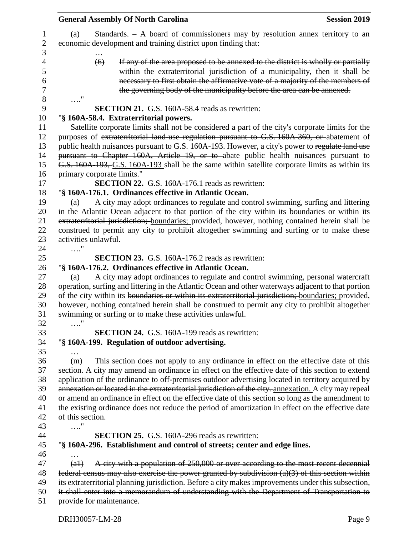|                            | <b>General Assembly Of North Carolina</b>                                                                                                                                                                                                                                                                                    | <b>Session 2019</b> |
|----------------------------|------------------------------------------------------------------------------------------------------------------------------------------------------------------------------------------------------------------------------------------------------------------------------------------------------------------------------|---------------------|
| (a)                        | Standards. $-$ A board of commissioners may by resolution annex territory to an<br>economic development and training district upon finding that:                                                                                                                                                                             |                     |
| (6)                        | If any of the area proposed to be annexed to the district is wholly or partially<br>within the extraterritorial jurisdiction of a municipality, then it shall be<br>necessary to first obtain the affirmative vote of a majority of the members of<br>the governing body of the municipality before the area can be annexed. |                     |
|                            |                                                                                                                                                                                                                                                                                                                              |                     |
|                            | <b>SECTION 21.</b> G.S. 160A-58.4 reads as rewritten:                                                                                                                                                                                                                                                                        |                     |
|                            | "§ 160A-58.4. Extraterritorial powers.                                                                                                                                                                                                                                                                                       |                     |
|                            | Satellite corporate limits shall not be considered a part of the city's corporate limits for the                                                                                                                                                                                                                             |                     |
|                            | purposes of extraterritorial land-use regulation pursuant to G.S. 160A-360, or abatement of                                                                                                                                                                                                                                  |                     |
|                            | public health nuisances pursuant to G.S. 160A-193. However, a city's power to regulate land use                                                                                                                                                                                                                              |                     |
|                            | pursuant to Chapter 160A, Article 19, or to abate public health nuisances pursuant to                                                                                                                                                                                                                                        |                     |
|                            | G.S. 160A-193, G.S. 160A-193 shall be the same within satellite corporate limits as within its                                                                                                                                                                                                                               |                     |
| primary corporate limits." | <b>SECTION 22.</b> G.S. 160A-176.1 reads as rewritten:                                                                                                                                                                                                                                                                       |                     |
|                            | "§ 160A-176.1. Ordinances effective in Atlantic Ocean.                                                                                                                                                                                                                                                                       |                     |
| (a)                        | A city may adopt ordinances to regulate and control swimming, surfing and littering                                                                                                                                                                                                                                          |                     |
|                            | in the Atlantic Ocean adjacent to that portion of the city within its boundaries or within its                                                                                                                                                                                                                               |                     |
|                            | extraterritorial jurisdiction; boundaries; provided, however, nothing contained herein shall be                                                                                                                                                                                                                              |                     |
|                            | construed to permit any city to prohibit altogether swimming and surfing or to make these                                                                                                                                                                                                                                    |                     |
| activities unlawful.       |                                                                                                                                                                                                                                                                                                                              |                     |
| $\ldots$ "                 |                                                                                                                                                                                                                                                                                                                              |                     |
|                            | <b>SECTION 23.</b> G.S. 160A-176.2 reads as rewritten:                                                                                                                                                                                                                                                                       |                     |
|                            | "§ 160A-176.2. Ordinances effective in Atlantic Ocean.                                                                                                                                                                                                                                                                       |                     |
| (a)                        | A city may adopt ordinances to regulate and control swimming, personal watercraft                                                                                                                                                                                                                                            |                     |
|                            | operation, surfing and littering in the Atlantic Ocean and other waterways adjacent to that portion                                                                                                                                                                                                                          |                     |
|                            | of the city within its boundaries or within its extraterritorial jurisdiction; boundaries; provided,                                                                                                                                                                                                                         |                     |
|                            | however, nothing contained herein shall be construed to permit any city to prohibit altogether                                                                                                                                                                                                                               |                     |
|                            | swimming or surfing or to make these activities unlawful.                                                                                                                                                                                                                                                                    |                     |
|                            |                                                                                                                                                                                                                                                                                                                              |                     |
|                            | <b>SECTION 24.</b> G.S. 160A-199 reads as rewritten:<br>"§ 160A-199. Regulation of outdoor advertising.                                                                                                                                                                                                                      |                     |
|                            |                                                                                                                                                                                                                                                                                                                              |                     |
| (m)                        | This section does not apply to any ordinance in effect on the effective date of this                                                                                                                                                                                                                                         |                     |
|                            | section. A city may amend an ordinance in effect on the effective date of this section to extend                                                                                                                                                                                                                             |                     |
|                            | application of the ordinance to off-premises outdoor advertising located in territory acquired by                                                                                                                                                                                                                            |                     |
|                            | annexation or located in the extraterritorial jurisdiction of the city. annexation. A city may repeal                                                                                                                                                                                                                        |                     |
|                            | or amend an ordinance in effect on the effective date of this section so long as the amendment to                                                                                                                                                                                                                            |                     |
|                            | the existing ordinance does not reduce the period of amortization in effect on the effective date                                                                                                                                                                                                                            |                     |
| of this section.           |                                                                                                                                                                                                                                                                                                                              |                     |
| $\ldots$ "                 |                                                                                                                                                                                                                                                                                                                              |                     |
|                            | <b>SECTION 25.</b> G.S. 160A-296 reads as rewritten:                                                                                                                                                                                                                                                                         |                     |
|                            | "§ 160A-296. Establishment and control of streets; center and edge lines.                                                                                                                                                                                                                                                    |                     |
|                            |                                                                                                                                                                                                                                                                                                                              |                     |
| $\left( a \right)$         | A city with a population of 250,000 or over according to the most recent decennial                                                                                                                                                                                                                                           |                     |
|                            | federal census may also exercise the power granted by subdivision $(a)(3)$ of this section within                                                                                                                                                                                                                            |                     |
|                            | its extraterritorial planning jurisdiction. Before a city makes improvements under this subsection,                                                                                                                                                                                                                          |                     |
| provide for maintenance.   | it shall enter into a memorandum of understanding with the Department of Transportation to                                                                                                                                                                                                                                   |                     |
|                            |                                                                                                                                                                                                                                                                                                                              |                     |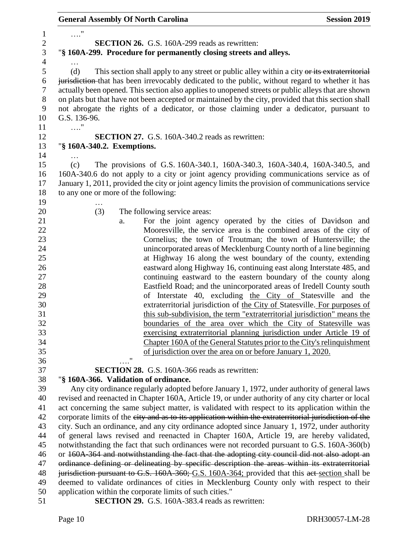| <b>General Assembly Of North Carolina</b>                                                                                                                                                                                                                                                                                                                                                                                                                                                                                          | <b>Session 2019</b>                                                                                                                  |
|------------------------------------------------------------------------------------------------------------------------------------------------------------------------------------------------------------------------------------------------------------------------------------------------------------------------------------------------------------------------------------------------------------------------------------------------------------------------------------------------------------------------------------|--------------------------------------------------------------------------------------------------------------------------------------|
| $\cdots$                                                                                                                                                                                                                                                                                                                                                                                                                                                                                                                           |                                                                                                                                      |
| <b>SECTION 26.</b> G.S. 160A-299 reads as rewritten:                                                                                                                                                                                                                                                                                                                                                                                                                                                                               |                                                                                                                                      |
| "§ 160A-299. Procedure for permanently closing streets and alleys.                                                                                                                                                                                                                                                                                                                                                                                                                                                                 |                                                                                                                                      |
|                                                                                                                                                                                                                                                                                                                                                                                                                                                                                                                                    |                                                                                                                                      |
| (d)<br>This section shall apply to any street or public alley within a city or its extraterritorial<br>jurisdiction-that has been irrevocably dedicated to the public, without regard to whether it has<br>actually been opened. This section also applies to unopened streets or public alleys that are shown<br>on plats but that have not been accepted or maintained by the city, provided that this section shall<br>not abrogate the rights of a dedicator, or those claiming under a dedicator, pursuant to<br>G.S. 136-96. |                                                                                                                                      |
| $\ldots$ "                                                                                                                                                                                                                                                                                                                                                                                                                                                                                                                         |                                                                                                                                      |
| <b>SECTION 27.</b> G.S. 160A-340.2 reads as rewritten:                                                                                                                                                                                                                                                                                                                                                                                                                                                                             |                                                                                                                                      |
| "§ 160A-340.2. Exemptions.                                                                                                                                                                                                                                                                                                                                                                                                                                                                                                         |                                                                                                                                      |
|                                                                                                                                                                                                                                                                                                                                                                                                                                                                                                                                    |                                                                                                                                      |
| The provisions of G.S. 160A-340.1, 160A-340.3, 160A-340.4, 160A-340.5, and<br>(c)<br>160A-340.6 do not apply to a city or joint agency providing communications service as of<br>January 1, 2011, provided the city or joint agency limits the provision of communications service<br>to any one or more of the following:                                                                                                                                                                                                         |                                                                                                                                      |
|                                                                                                                                                                                                                                                                                                                                                                                                                                                                                                                                    |                                                                                                                                      |
| (3)<br>The following service areas:                                                                                                                                                                                                                                                                                                                                                                                                                                                                                                |                                                                                                                                      |
| a.                                                                                                                                                                                                                                                                                                                                                                                                                                                                                                                                 | For the joint agency operated by the cities of Davidson and                                                                          |
|                                                                                                                                                                                                                                                                                                                                                                                                                                                                                                                                    | Mooresville, the service area is the combined areas of the city of<br>Cornelius; the town of Troutman; the town of Huntersville; the |
|                                                                                                                                                                                                                                                                                                                                                                                                                                                                                                                                    | unincorporated areas of Mecklenburg County north of a line beginning                                                                 |
|                                                                                                                                                                                                                                                                                                                                                                                                                                                                                                                                    | at Highway 16 along the west boundary of the county, extending                                                                       |
|                                                                                                                                                                                                                                                                                                                                                                                                                                                                                                                                    | eastward along Highway 16, continuing east along Interstate 485, and                                                                 |
|                                                                                                                                                                                                                                                                                                                                                                                                                                                                                                                                    | continuing eastward to the eastern boundary of the county along                                                                      |
|                                                                                                                                                                                                                                                                                                                                                                                                                                                                                                                                    | Eastfield Road; and the unincorporated areas of Iredell County south                                                                 |
|                                                                                                                                                                                                                                                                                                                                                                                                                                                                                                                                    | of Interstate 40, excluding the City of Statesville and the                                                                          |
|                                                                                                                                                                                                                                                                                                                                                                                                                                                                                                                                    | extraterritorial jurisdiction of the City of Statesville. For purposes of                                                            |
|                                                                                                                                                                                                                                                                                                                                                                                                                                                                                                                                    | this sub-subdivision, the term "extraterritorial jurisdiction" means the                                                             |
|                                                                                                                                                                                                                                                                                                                                                                                                                                                                                                                                    | boundaries of the area over which the City of Statesville was                                                                        |
|                                                                                                                                                                                                                                                                                                                                                                                                                                                                                                                                    | exercising extraterritorial planning jurisdiction under Article 19 of                                                                |
|                                                                                                                                                                                                                                                                                                                                                                                                                                                                                                                                    | Chapter 160A of the General Statutes prior to the City's relinquishment                                                              |
| of jurisdiction over the area on or before January 1, 2020.<br>$^{\prime\prime}$                                                                                                                                                                                                                                                                                                                                                                                                                                                   |                                                                                                                                      |
| <b>SECTION 28.</b> G.S. 160A-366 reads as rewritten:                                                                                                                                                                                                                                                                                                                                                                                                                                                                               |                                                                                                                                      |
| "§ 160A-366. Validation of ordinance.                                                                                                                                                                                                                                                                                                                                                                                                                                                                                              |                                                                                                                                      |
| Any city ordinance regularly adopted before January 1, 1972, under authority of general laws                                                                                                                                                                                                                                                                                                                                                                                                                                       |                                                                                                                                      |
| revised and reenacted in Chapter 160A, Article 19, or under authority of any city charter or local                                                                                                                                                                                                                                                                                                                                                                                                                                 |                                                                                                                                      |
| act concerning the same subject matter, is validated with respect to its application within the                                                                                                                                                                                                                                                                                                                                                                                                                                    |                                                                                                                                      |
| corporate limits of the eity and as to its application within the extraterritorial jurisdiction of the                                                                                                                                                                                                                                                                                                                                                                                                                             |                                                                                                                                      |
| city. Such an ordinance, and any city ordinance adopted since January 1, 1972, under authority                                                                                                                                                                                                                                                                                                                                                                                                                                     |                                                                                                                                      |
| of general laws revised and reenacted in Chapter 160A, Article 19, are hereby validated,                                                                                                                                                                                                                                                                                                                                                                                                                                           |                                                                                                                                      |
| notwithstanding the fact that such ordinances were not recorded pursuant to G.S. 160A-360(b)                                                                                                                                                                                                                                                                                                                                                                                                                                       |                                                                                                                                      |
| or 160A-364 and notwithstanding the fact that the adopting city council did not also adopt an                                                                                                                                                                                                                                                                                                                                                                                                                                      |                                                                                                                                      |
| ordinance defining or delineating by specific description the areas within its extraterritorial                                                                                                                                                                                                                                                                                                                                                                                                                                    |                                                                                                                                      |
| jurisdiction pursuant to G.S. 160A-360; G.S. 160A-364; provided that this act-section shall be                                                                                                                                                                                                                                                                                                                                                                                                                                     |                                                                                                                                      |
| deemed to validate ordinances of cities in Mecklenburg County only with respect to their                                                                                                                                                                                                                                                                                                                                                                                                                                           |                                                                                                                                      |
| application within the corporate limits of such cities."                                                                                                                                                                                                                                                                                                                                                                                                                                                                           |                                                                                                                                      |

**SECTION 29.** G.S. 160A-383.4 reads as rewritten: